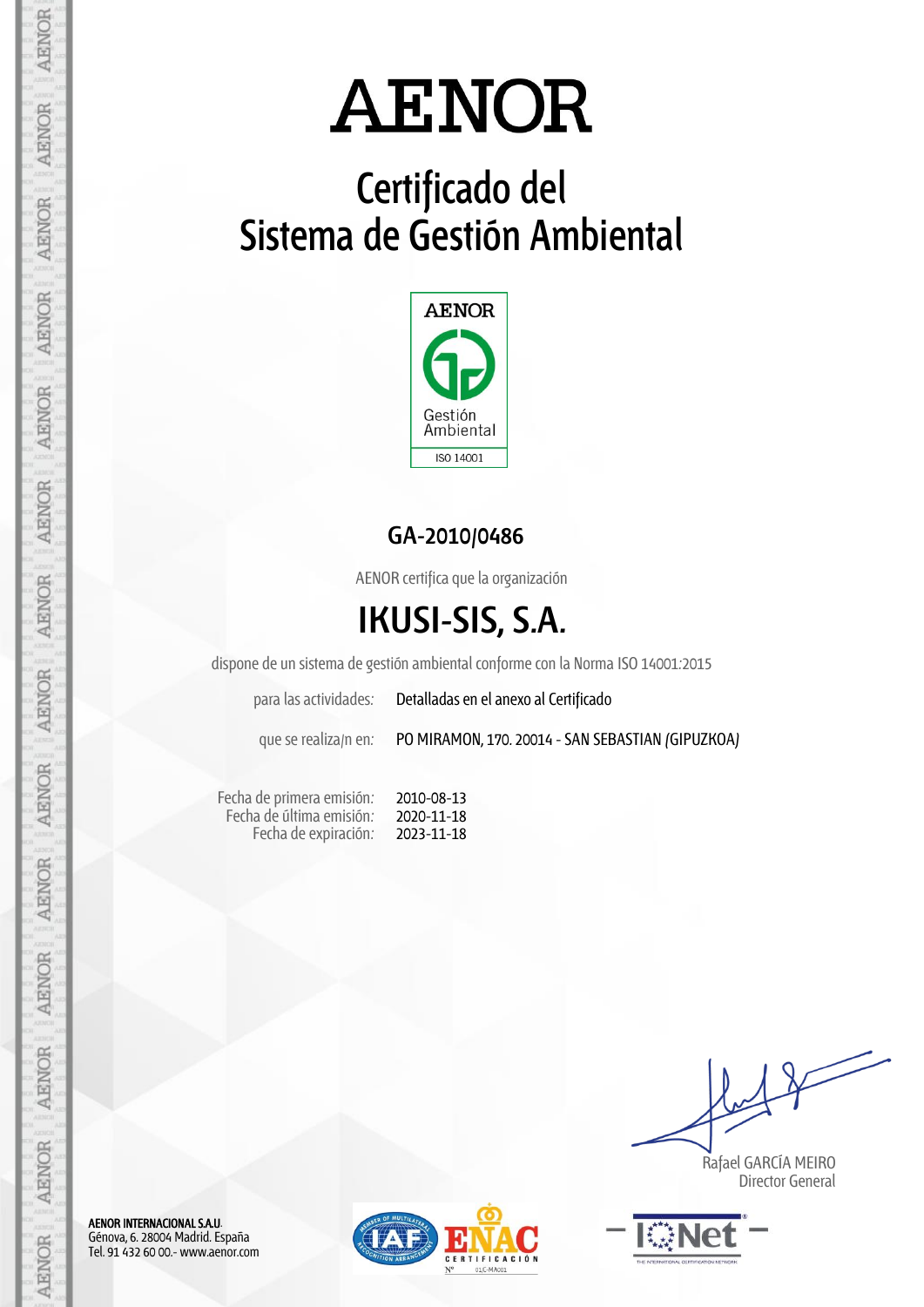# **Certificado del Sistema de Gestión Ambiental**



## **GA-2010/0486**

AENOR certifica que la organización

# **IKUSI-SIS, S.A.**

dispone de un sistema de gestión ambiental conforme con la Norma ISO 14001:2015

para las actividades: Detalladas en el anexo al Certificado

que se realiza/n en: PO MIRAMON, 170. 20014 - SAN SEBASTIAN (GIPUZKOA)

Fecha de primera emisión: Fecha de última emisión: Fecha de expiración:

2010-08-13 2020-11-18 2023-11-18

 Rafael GARCÍA MEIRO Director General



AENOR INTERNACIONAL S.A.U. Génova, 6. 28004 Madrid. España Tel. 91 432 60 00.- www.aenor.com

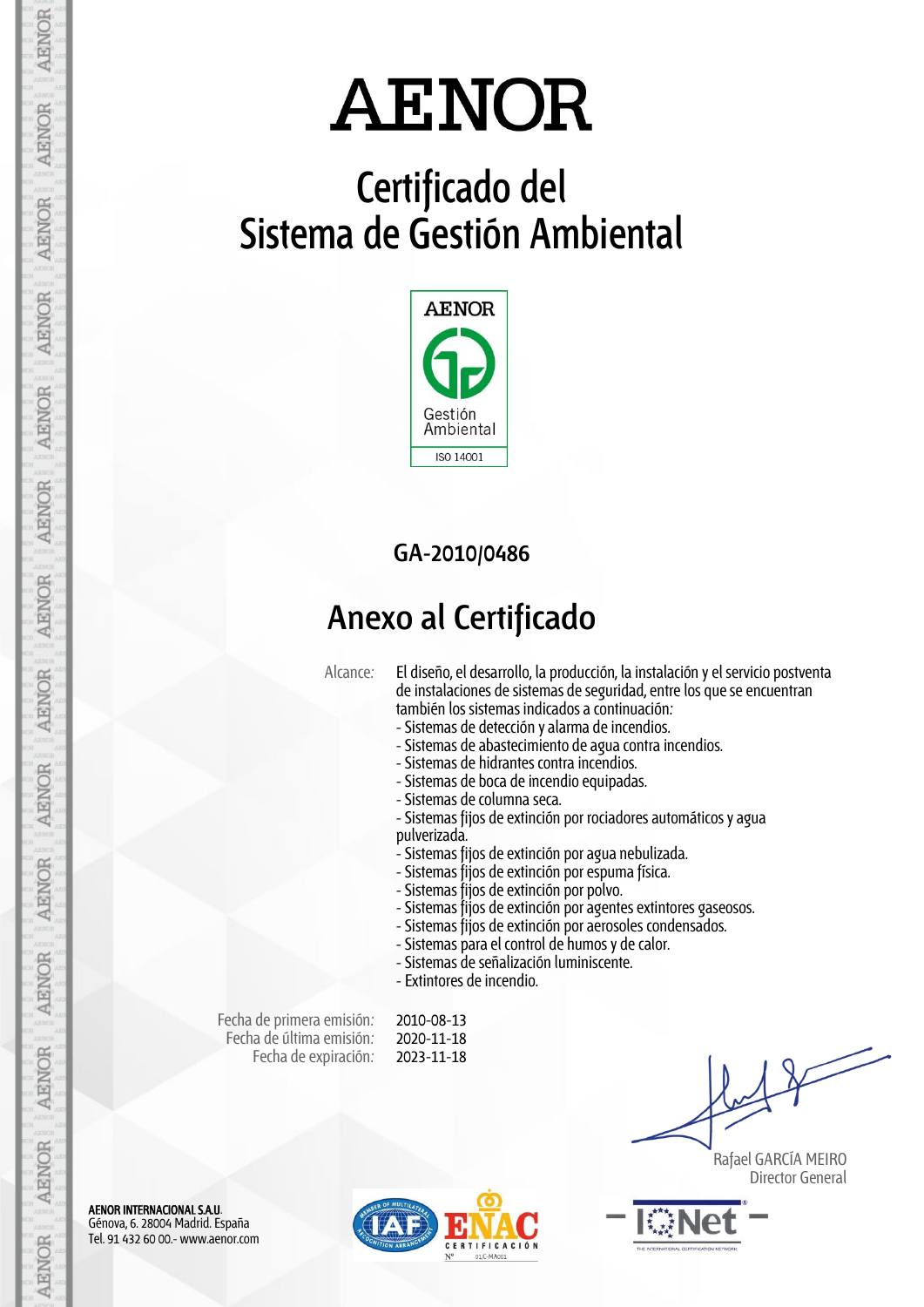# **Certificado del Sistema de Gestión Ambiental**



## **GA-2010/0486**

## **Anexo al Certificado**

Alcance: El diseño, el desarrollo, la producción, la instalación y el servicio postventa de instalaciones de sistemas de seguridad, entre los que se encuentran también los sistemas indicados a continuación:

- Sistemas de detección y alarma de incendios.
- Sistemas de abastecimiento de agua contra incendios.
- Sistemas de hidrantes contra incendios.
- Sistemas de boca de incendio equipadas.
- Sistemas de columna seca.
- Sistemas fijos de extinción por rociadores automáticos y agua pulverizada.
- Sistemas fijos de extinción por agua nebulizada.
- Sistemas fijos de extinción por espuma física.
- Sistemas fijos de extinción por polvo.
- Sistemas fijos de extinción por agentes extintores gaseosos.
- Sistemas fijos de extinción por aerosoles condensados.
- Sistemas para el control de humos y de calor.
- Sistemas de señalización luminiscente.
- Extintores de incendio.

Fecha de primera emisión: Fecha de última emisión: Fecha de expiración:

2010-08-13 2020-11-18 2023-11-18

 Rafael GARCÍA MEIRO Director General



AENOR INTERNACIONAL S.A.U. Génova, 6. 28004 Madrid. España Tel. 91 432 60 00.- www.aenor.com

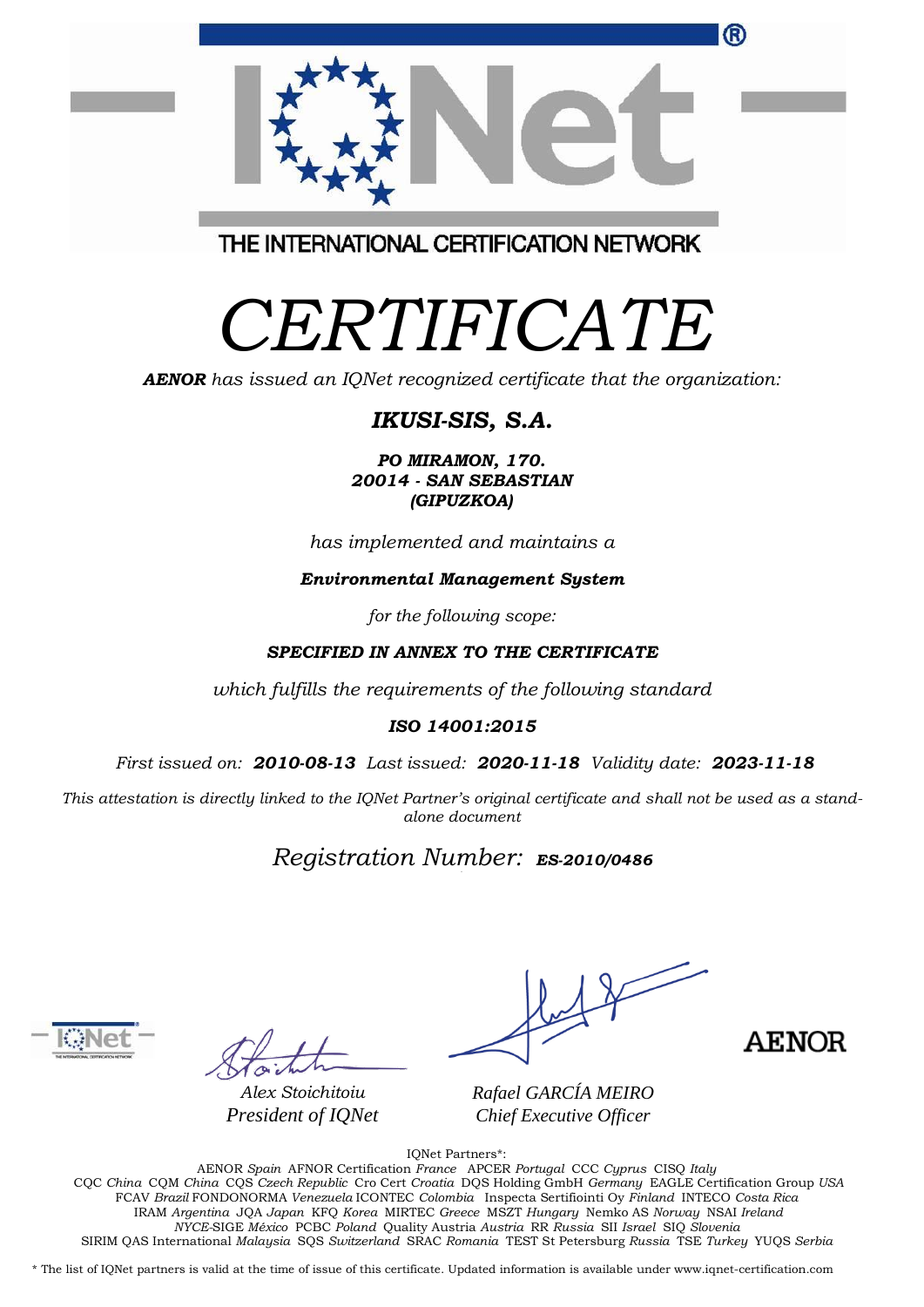|                                         | ® |
|-----------------------------------------|---|
|                                         |   |
| THE INTERNATIONAL CERTIFICATION NETWORK |   |

# *CERTIFICATE*

*AENOR has issued an IQNet recognized certificate that the organization:*

## *IKUSI-SIS, S.A.*

*PO MIRAMON, 170. 20014 - SAN SEBASTIAN (GIPUZKOA)*

*has implemented and maintains a*

### *Environmental Management System*

*for the following scope:* 

### *SPECIFIED IN ANNEX TO THE CERTIFICATE*

*which fulfills the requirements of the following standard*

### *ISO 14001:2015*

*First issued on: 2010-08-13 Last issued: 2020-11-18 Validity date: 2023-11-18*

This attestation is directly linked to the IQNet Partner's original certificate and shall not be used as a stand*alone document*

## *Registration Number: ES-2010/0486*



*Alex Stoichitoiu President of IQNet*

**AENOR** 

*Rafael GARCÍA MEIRO Chief Executive Officer*

IQNet Partners\*:

AENOR *Spain* AFNOR Certification *France* APCER *Portugal* CCC *Cyprus* CISQ *Italy* CQC *China* CQM *China* CQS *Czech Republic* Cro Cert *Croatia* DQS Holding GmbH *Germany* EAGLE Certification Group *USA* FCAV *Brazil* FONDONORMA *Venezuela* ICONTEC *Colombia* Inspecta Sertifiointi Oy *Finland* INTECO *Costa Rica* IRAM *Argentina* JQA *Japan* KFQ *Korea* MIRTEC *Greece* MSZT *Hungary* Nemko AS *Norway* NSAI *Ireland NYCE-*SIGE *México* PCBC *Poland* Quality Austria *Austria* RR *Russia* SII *Israel* SIQ *Slovenia*  SIRIM QAS International *Malaysia* SQS *Switzerland* SRAC *Romania* TEST St Petersburg *Russia* TSE *Turkey* YUQS *Serbia*

\* The list of IQNet partners is valid at the time of issue of this certificate. Updated information is available under www.iqnet-certification.com